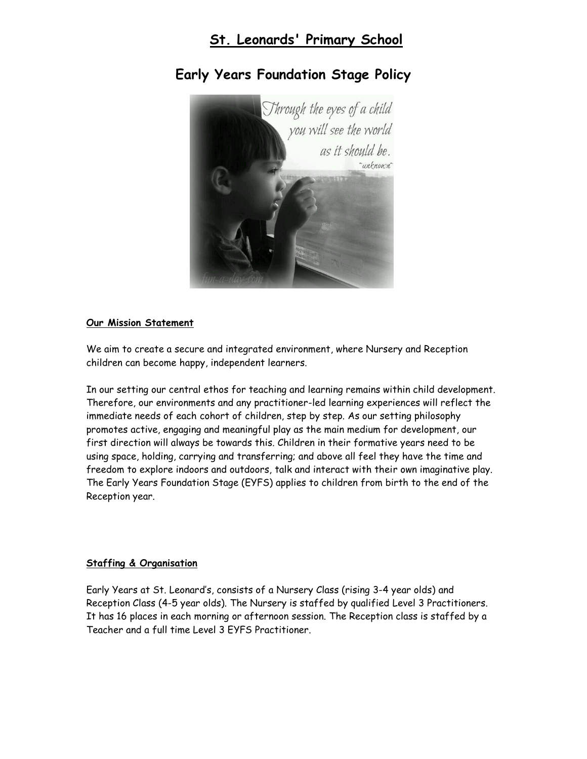# **St. Leonards' Primary School**



# **Early Years Foundation Stage Policy**

### **Our Mission Statement**

We aim to create a secure and integrated environment, where Nursery and Reception children can become happy, independent learners.

In our setting our central ethos for teaching and learning remains within child development. Therefore, our environments and any practitioner-led learning experiences will reflect the immediate needs of each cohort of children, step by step. As our setting philosophy promotes active, engaging and meaningful play as the main medium for development, our first direction will always be towards this. Children in their formative years need to be using space, holding, carrying and transferring; and above all feel they have the time and freedom to explore indoors and outdoors, talk and interact with their own imaginative play. The Early Years Foundation Stage (EYFS) applies to children from birth to the end of the Reception year.

#### **Staffing & Organisation**

Early Years at St. Leonard's, consists of a Nursery Class (rising 3-4 year olds) and Reception Class (4-5 year olds). The Nursery is staffed by qualified Level 3 Practitioners. It has 16 places in each morning or afternoon session. The Reception class is staffed by a Teacher and a full time Level 3 EYFS Practitioner.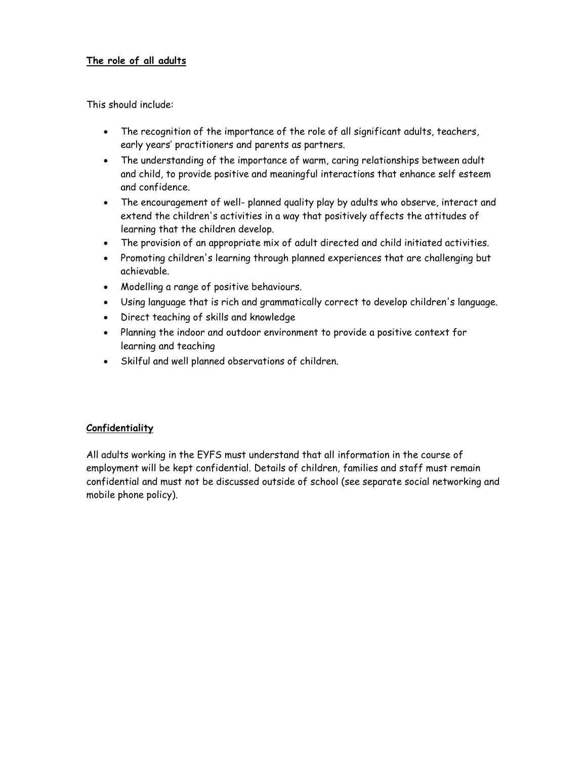## **The role of all adults**

This should include:

- The recognition of the importance of the role of all significant adults, teachers, early years' practitioners and parents as partners.
- The understanding of the importance of warm, caring relationships between adult and child, to provide positive and meaningful interactions that enhance self esteem and confidence.
- The encouragement of well- planned quality play by adults who observe, interact and extend the children's activities in a way that positively affects the attitudes of learning that the children develop.
- The provision of an appropriate mix of adult directed and child initiated activities.
- Promoting children's learning through planned experiences that are challenging but achievable.
- Modelling a range of positive behaviours.
- Using language that is rich and grammatically correct to develop children's language.
- Direct teaching of skills and knowledge
- Planning the indoor and outdoor environment to provide a positive context for learning and teaching
- Skilful and well planned observations of children.

#### **Confidentiality**

All adults working in the EYFS must understand that all information in the course of employment will be kept confidential. Details of children, families and staff must remain confidential and must not be discussed outside of school (see separate social networking and mobile phone policy).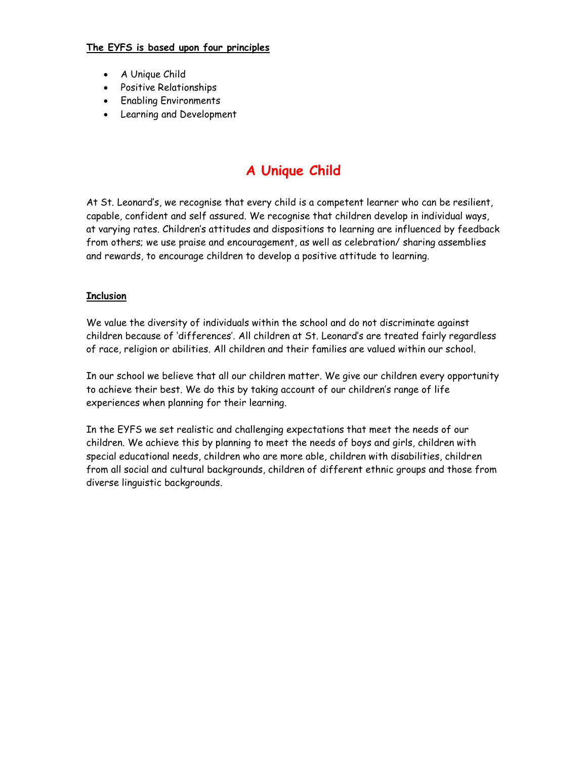### **The EYFS is based upon four principles**

- A Unique Child
- Positive Relationships
- **•** Enabling Environments
- Learning and Development

# **A Unique Child**

At St. Leonard's, we recognise that every child is a competent learner who can be resilient, capable, confident and self assured. We recognise that children develop in individual ways, at varying rates. Children's attitudes and dispositions to learning are influenced by feedback from others; we use praise and encouragement, as well as celebration/ sharing assemblies and rewards, to encourage children to develop a positive attitude to learning.

# **Inclusion**

We value the diversity of individuals within the school and do not discriminate against children because of 'differences'. All children at St. Leonard's are treated fairly regardless of race, religion or abilities. All children and their families are valued within our school.

In our school we believe that all our children matter. We give our children every opportunity to achieve their best. We do this by taking account of our children's range of life experiences when planning for their learning.

In the EYFS we set realistic and challenging expectations that meet the needs of our children. We achieve this by planning to meet the needs of boys and girls, children with special educational needs, children who are more able, children with disabilities, children from all social and cultural backgrounds, children of different ethnic groups and those from diverse linguistic backgrounds.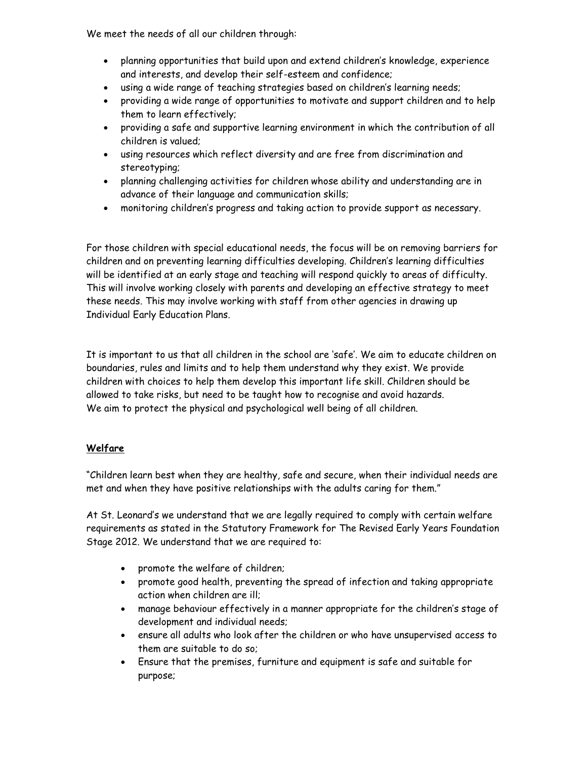We meet the needs of all our children through:

- planning opportunities that build upon and extend children's knowledge, experience and interests, and develop their self-esteem and confidence;
- using a wide range of teaching strategies based on children's learning needs;
- providing a wide range of opportunities to motivate and support children and to help them to learn effectively;
- providing a safe and supportive learning environment in which the contribution of all children is valued;
- using resources which reflect diversity and are free from discrimination and stereotyping;
- planning challenging activities for children whose ability and understanding are in advance of their language and communication skills;
- monitoring children's progress and taking action to provide support as necessary.

For those children with special educational needs, the focus will be on removing barriers for children and on preventing learning difficulties developing. Children's learning difficulties will be identified at an early stage and teaching will respond quickly to areas of difficulty. This will involve working closely with parents and developing an effective strategy to meet these needs. This may involve working with staff from other agencies in drawing up Individual Early Education Plans.

It is important to us that all children in the school are 'safe'. We aim to educate children on boundaries, rules and limits and to help them understand why they exist. We provide children with choices to help them develop this important life skill. Children should be allowed to take risks, but need to be taught how to recognise and avoid hazards. We aim to protect the physical and psychological well being of all children.

# **Welfare**

"Children learn best when they are healthy, safe and secure, when their individual needs are met and when they have positive relationships with the adults caring for them."

At St. Leonard's we understand that we are legally required to comply with certain welfare requirements as stated in the Statutory Framework for The Revised Early Years Foundation Stage 2012. We understand that we are required to:

- promote the welfare of children;
- promote good health, preventing the spread of infection and taking appropriate action when children are ill;
- manage behaviour effectively in a manner appropriate for the children's stage of development and individual needs;
- ensure all adults who look after the children or who have unsupervised access to them are suitable to do so;
- Ensure that the premises, furniture and equipment is safe and suitable for purpose;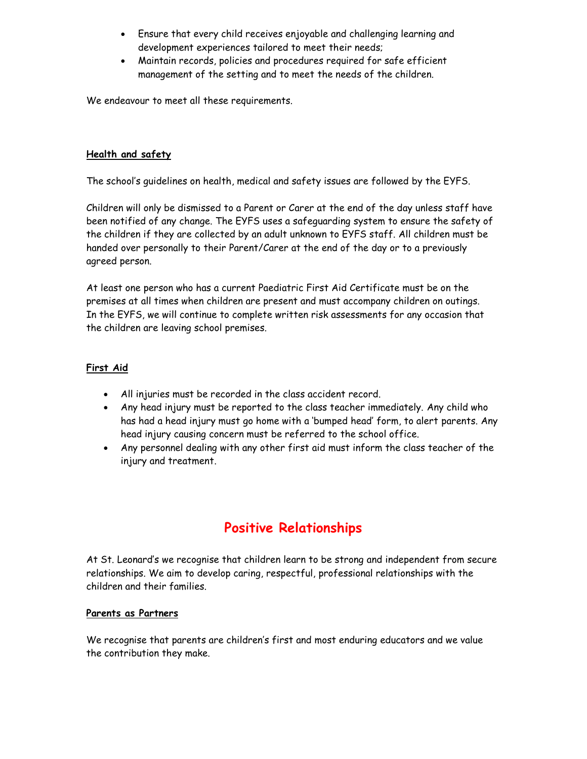- Ensure that every child receives enjoyable and challenging learning and development experiences tailored to meet their needs;
- Maintain records, policies and procedures required for safe efficient management of the setting and to meet the needs of the children.

We endeavour to meet all these requirements.

### **Health and safety**

The school's guidelines on health, medical and safety issues are followed by the EYFS.

Children will only be dismissed to a Parent or Carer at the end of the day unless staff have been notified of any change. The EYFS uses a safeguarding system to ensure the safety of the children if they are collected by an adult unknown to EYFS staff. All children must be handed over personally to their Parent/Carer at the end of the day or to a previously agreed person.

At least one person who has a current Paediatric First Aid Certificate must be on the premises at all times when children are present and must accompany children on outings. In the EYFS, we will continue to complete written risk assessments for any occasion that the children are leaving school premises.

### **First Aid**

- All injuries must be recorded in the class accident record.
- Any head injury must be reported to the class teacher immediately. Any child who has had a head injury must go home with a 'bumped head' form, to alert parents. Any head injury causing concern must be referred to the school office.
- Any personnel dealing with any other first aid must inform the class teacher of the injury and treatment.

# **Positive Relationships**

At St. Leonard's we recognise that children learn to be strong and independent from secure relationships. We aim to develop caring, respectful, professional relationships with the children and their families.

#### **Parents as Partners**

We recognise that parents are children's first and most enduring educators and we value the contribution they make.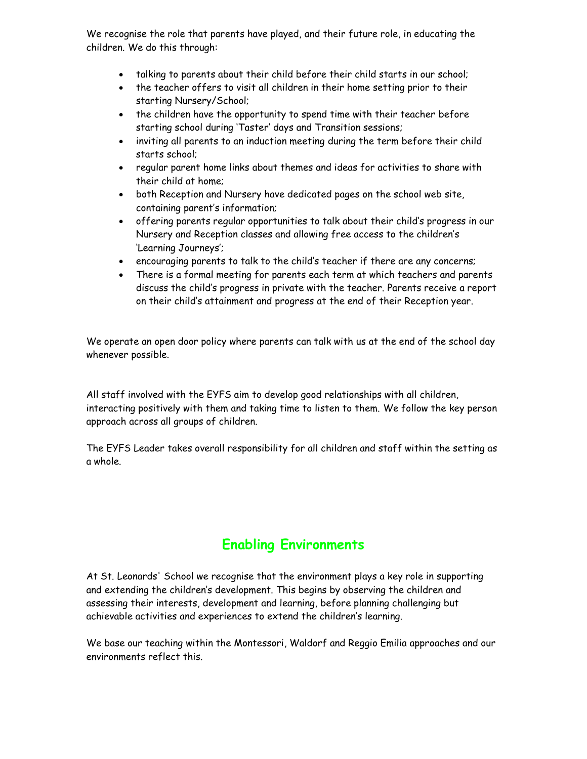We recognise the role that parents have played, and their future role, in educating the children. We do this through:

- talking to parents about their child before their child starts in our school;
- the teacher offers to visit all children in their home setting prior to their starting Nursery/School;
- the children have the opportunity to spend time with their teacher before starting school during 'Taster' days and Transition sessions;
- inviting all parents to an induction meeting during the term before their child starts school;
- regular parent home links about themes and ideas for activities to share with their child at home;
- both Reception and Nursery have dedicated pages on the school web site, containing parent's information;
- offering parents regular opportunities to talk about their child's progress in our Nursery and Reception classes and allowing free access to the children's 'Learning Journeys';
- encouraging parents to talk to the child's teacher if there are any concerns;
- There is a formal meeting for parents each term at which teachers and parents discuss the child's progress in private with the teacher. Parents receive a report on their child's attainment and progress at the end of their Reception year.

We operate an open door policy where parents can talk with us at the end of the school day whenever possible.

All staff involved with the EYFS aim to develop good relationships with all children, interacting positively with them and taking time to listen to them. We follow the key person approach across all groups of children.

The EYFS Leader takes overall responsibility for all children and staff within the setting as a whole.

# **Enabling Environments**

At St. Leonards' School we recognise that the environment plays a key role in supporting and extending the children's development. This begins by observing the children and assessing their interests, development and learning, before planning challenging but achievable activities and experiences to extend the children's learning.

We base our teaching within the Montessori, Waldorf and Reggio Emilia approaches and our environments reflect this.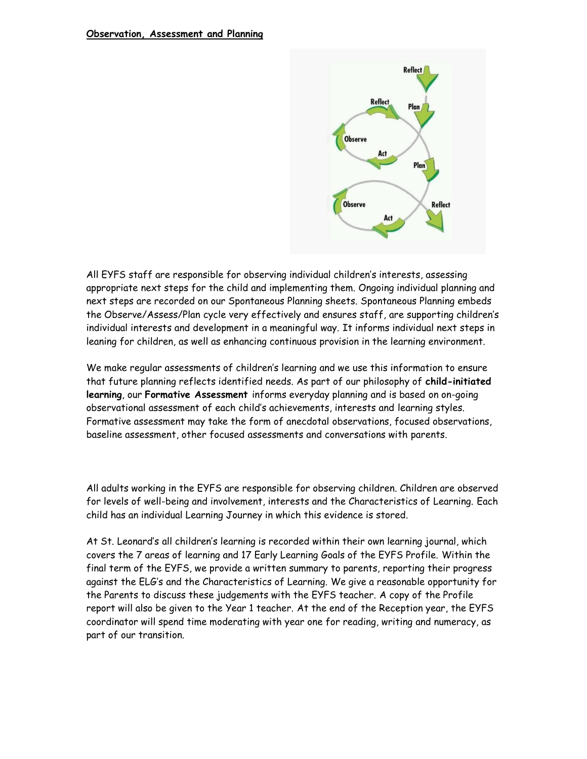

All EYFS staff are responsible for observing individual children's interests, assessing appropriate next steps for the child and implementing them. Ongoing individual planning and next steps are recorded on our Spontaneous Planning sheets. Spontaneous Planning embeds the Observe/Assess/Plan cycle very effectively and ensures staff, are supporting children's individual interests and development in a meaningful way. It informs individual next steps in leaning for children, as well as enhancing continuous provision in the learning environment.

We make regular assessments of children's learning and we use this information to ensure that future planning reflects identified needs. As part of our philosophy of **child-initiated learning**, our **Formative Assessment** informs everyday planning and is based on on-going observational assessment of each child's achievements, interests and learning styles. Formative assessment may take the form of anecdotal observations, focused observations, baseline assessment, other focused assessments and conversations with parents.

All adults working in the EYFS are responsible for observing children. Children are observed for levels of well-being and involvement, interests and the Characteristics of Learning. Each child has an individual Learning Journey in which this evidence is stored.

At St. Leonard's all children's learning is recorded within their own learning journal, which covers the 7 areas of learning and 17 Early Learning Goals of the EYFS Profile. Within the final term of the EYFS, we provide a written summary to parents, reporting their progress against the ELG's and the Characteristics of Learning. We give a reasonable opportunity for the Parents to discuss these judgements with the EYFS teacher. A copy of the Profile report will also be given to the Year 1 teacher. At the end of the Reception year, the EYFS coordinator will spend time moderating with year one for reading, writing and numeracy, as part of our transition.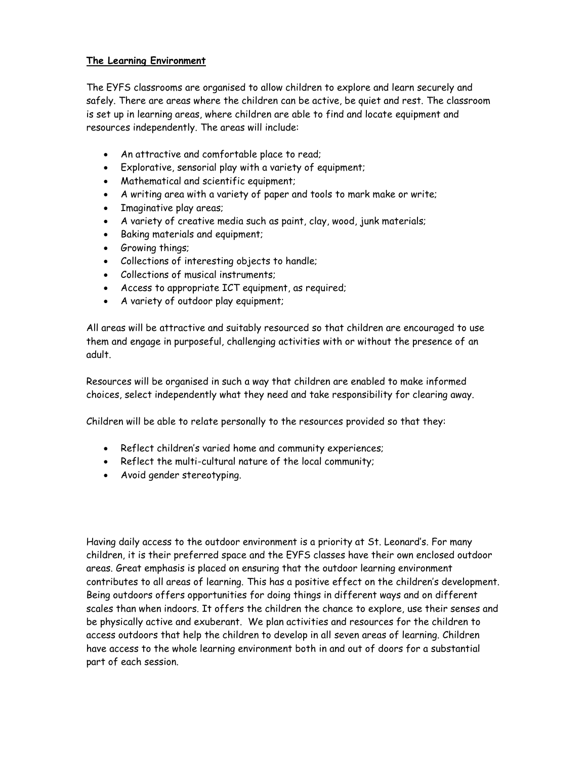### **The Learning Environment**

The EYFS classrooms are organised to allow children to explore and learn securely and safely. There are areas where the children can be active, be quiet and rest. The classroom is set up in learning areas, where children are able to find and locate equipment and resources independently. The areas will include:

- An attractive and comfortable place to read;
- Explorative, sensorial play with a variety of equipment;
- Mathematical and scientific equipment;
- A writing area with a variety of paper and tools to mark make or write;
- Imaginative play areas;
- A variety of creative media such as paint, clay, wood, junk materials;
- Baking materials and equipment;
- Growing things;
- Collections of interesting objects to handle;
- Collections of musical instruments;
- Access to appropriate ICT equipment, as required;
- A variety of outdoor play equipment;

All areas will be attractive and suitably resourced so that children are encouraged to use them and engage in purposeful, challenging activities with or without the presence of an adult.

Resources will be organised in such a way that children are enabled to make informed choices, select independently what they need and take responsibility for clearing away.

Children will be able to relate personally to the resources provided so that they:

- Reflect children's varied home and community experiences;
- Reflect the multi-cultural nature of the local community;
- Avoid gender stereotyping.

Having daily access to the outdoor environment is a priority at St. Leonard's. For many children, it is their preferred space and the EYFS classes have their own enclosed outdoor areas. Great emphasis is placed on ensuring that the outdoor learning environment contributes to all areas of learning. This has a positive effect on the children's development. Being outdoors offers opportunities for doing things in different ways and on different scales than when indoors. It offers the children the chance to explore, use their senses and be physically active and exuberant. We plan activities and resources for the children to access outdoors that help the children to develop in all seven areas of learning. Children have access to the whole learning environment both in and out of doors for a substantial part of each session.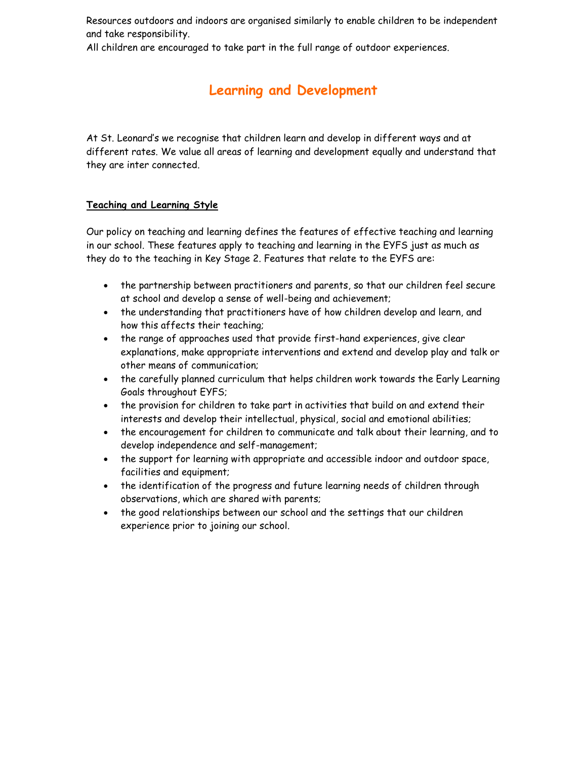Resources outdoors and indoors are organised similarly to enable children to be independent and take responsibility.

All children are encouraged to take part in the full range of outdoor experiences.

# **Learning and Development**

At St. Leonard's we recognise that children learn and develop in different ways and at different rates. We value all areas of learning and development equally and understand that they are inter connected.

# **Teaching and Learning Style**

Our policy on teaching and learning defines the features of effective teaching and learning in our school. These features apply to teaching and learning in the EYFS just as much as they do to the teaching in Key Stage 2. Features that relate to the EYFS are:

- the partnership between practitioners and parents, so that our children feel secure at school and develop a sense of well-being and achievement;
- the understanding that practitioners have of how children develop and learn, and how this affects their teaching;
- the range of approaches used that provide first-hand experiences, give clear explanations, make appropriate interventions and extend and develop play and talk or other means of communication;
- the carefully planned curriculum that helps children work towards the Early Learning Goals throughout EYFS;
- the provision for children to take part in activities that build on and extend their interests and develop their intellectual, physical, social and emotional abilities;
- the encouragement for children to communicate and talk about their learning, and to develop independence and self-management;
- the support for learning with appropriate and accessible indoor and outdoor space, facilities and equipment;
- the identification of the progress and future learning needs of children through observations, which are shared with parents;
- the good relationships between our school and the settings that our children experience prior to joining our school.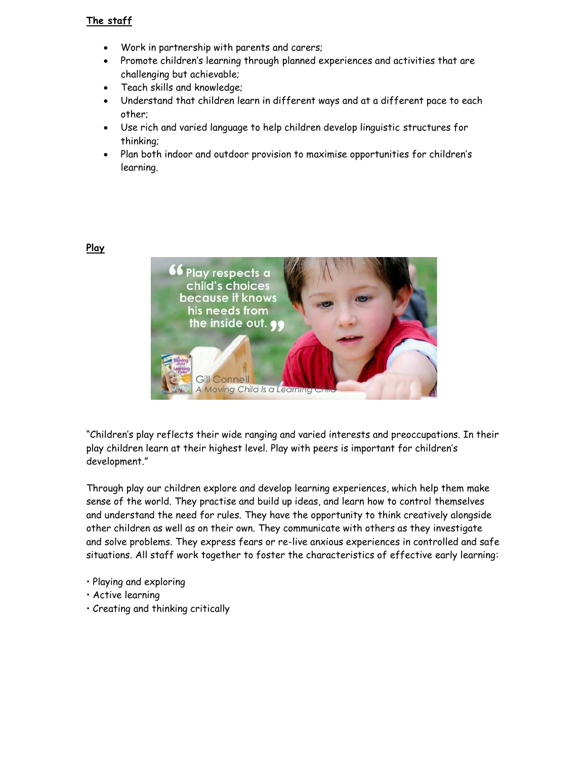# **The staff**

- Work in partnership with parents and carers;
- Promote children's learning through planned experiences and activities that are challenging but achievable;
- Teach skills and knowledge;
- Understand that children learn in different ways and at a different pace to each other;
- Use rich and varied language to help children develop linguistic structures for thinking;
- Plan both indoor and outdoor provision to maximise opportunities for children's learning.



"Children's play reflects their wide ranging and varied interests and preoccupations. In their play children learn at their highest level. Play with peers is important for children's development."

Through play our children explore and develop learning experiences, which help them make sense of the world. They practise and build up ideas, and learn how to control themselves and understand the need for rules. They have the opportunity to think creatively alongside other children as well as on their own. They communicate with others as they investigate and solve problems. They express fears or re-live anxious experiences in controlled and safe situations. All staff work together to foster the characteristics of effective early learning:

- Playing and exploring
- Active learning
- Creating and thinking critically

### **Play**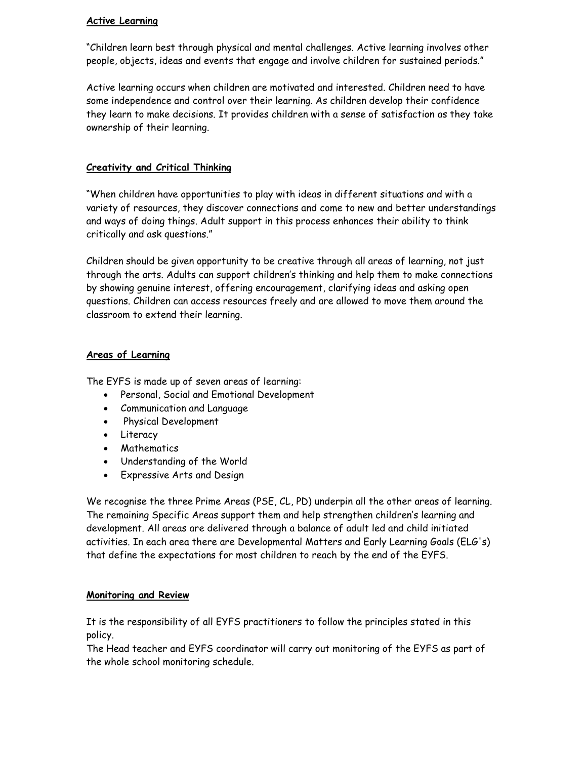### **Active Learning**

"Children learn best through physical and mental challenges. Active learning involves other people, objects, ideas and events that engage and involve children for sustained periods."

Active learning occurs when children are motivated and interested. Children need to have some independence and control over their learning. As children develop their confidence they learn to make decisions. It provides children with a sense of satisfaction as they take ownership of their learning.

## **Creativity and Critical Thinking**

"When children have opportunities to play with ideas in different situations and with a variety of resources, they discover connections and come to new and better understandings and ways of doing things. Adult support in this process enhances their ability to think critically and ask questions."

Children should be given opportunity to be creative through all areas of learning, not just through the arts. Adults can support children's thinking and help them to make connections by showing genuine interest, offering encouragement, clarifying ideas and asking open questions. Children can access resources freely and are allowed to move them around the classroom to extend their learning.

#### **Areas of Learning**

The EYFS is made up of seven areas of learning:

- Personal, Social and Emotional Development
- Communication and Language
- Physical Development
- Literacy
- Mathematics
- Understanding of the World
- Expressive Arts and Design

We recognise the three Prime Areas (PSE, CL, PD) underpin all the other areas of learning. The remaining Specific Areas support them and help strengthen children's learning and development. All areas are delivered through a balance of adult led and child initiated activities. In each area there are Developmental Matters and Early Learning Goals (ELG's) that define the expectations for most children to reach by the end of the EYFS.

#### **Monitoring and Review**

It is the responsibility of all EYFS practitioners to follow the principles stated in this policy.

The Head teacher and EYFS coordinator will carry out monitoring of the EYFS as part of the whole school monitoring schedule.